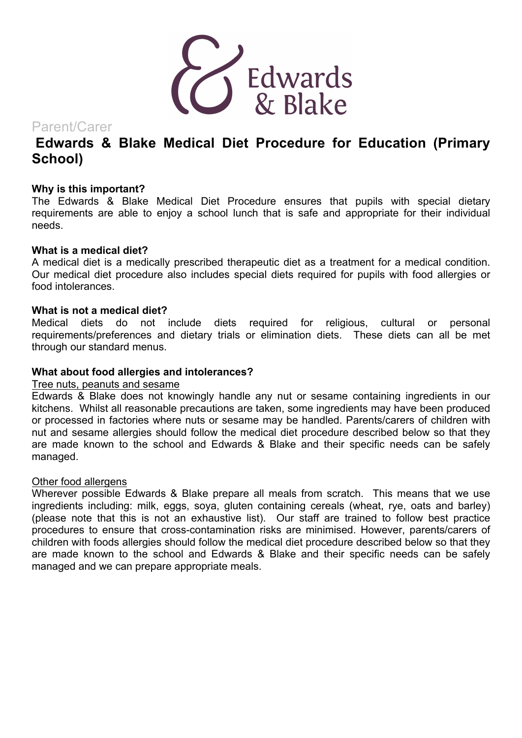

Parent/Carer

# **Edwards & Blake Medical Diet Procedure for Education (Primary School)**

### **Why is this important?**

The Edwards & Blake Medical Diet Procedure ensures that pupils with special dietary requirements are able to enjoy a school lunch that is safe and appropriate for their individual needs.

#### **What is a medical diet?**

A medical diet is a medically prescribed therapeutic diet as a treatment for a medical condition. Our medical diet procedure also includes special diets required for pupils with food allergies or food intolerances.

#### **What is not a medical diet?**

Medical diets do not include diets required for religious, cultural or personal requirements/preferences and dietary trials or elimination diets. These diets can all be met through our standard menus.

#### **What about food allergies and intolerances?**

#### Tree nuts, peanuts and sesame

Edwards & Blake does not knowingly handle any nut or sesame containing ingredients in our kitchens. Whilst all reasonable precautions are taken, some ingredients may have been produced or processed in factories where nuts or sesame may be handled. Parents/carers of children with nut and sesame allergies should follow the medical diet procedure described below so that they are made known to the school and Edwards & Blake and their specific needs can be safely managed.

#### Other food allergens

Wherever possible Edwards & Blake prepare all meals from scratch. This means that we use ingredients including: milk, eggs, soya, gluten containing cereals (wheat, rye, oats and barley) (please note that this is not an exhaustive list). Our staff are trained to follow best practice procedures to ensure that cross-contamination risks are minimised. However, parents/carers of children with foods allergies should follow the medical diet procedure described below so that they are made known to the school and Edwards & Blake and their specific needs can be safely managed and we can prepare appropriate meals.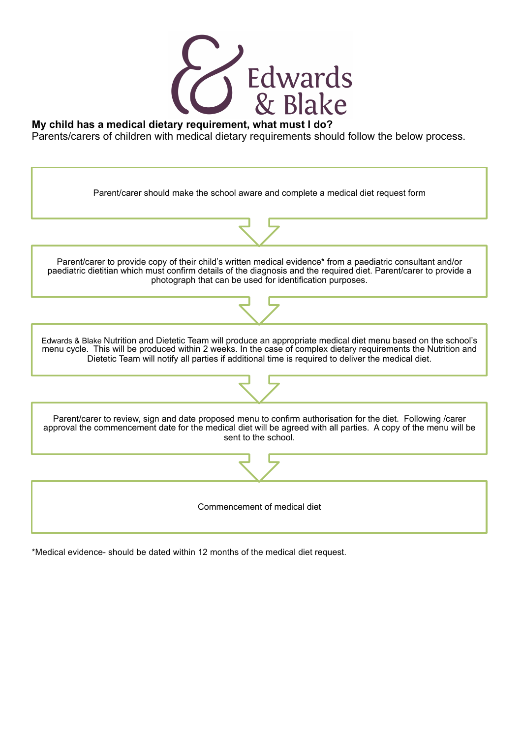

### **My child has a medical dietary requirement, what must I do?**

Parents/carers of children with medical dietary requirements should follow the below process.



\*Medical evidence- should be dated within 12 months of the medical diet request.